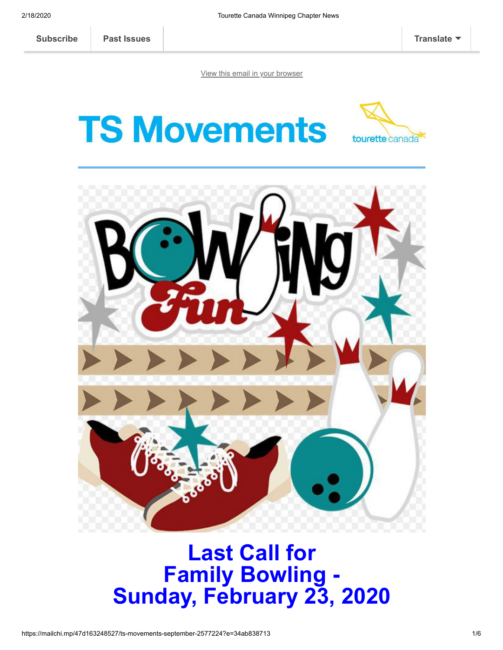[View this email in your browser](https://mailchi.mp/47d163248527/ts-movements-september-2577224?e=34ab838713)

**TS Movements** 





## **Last Call for Family Bowling - Sunday, February 23, 2020**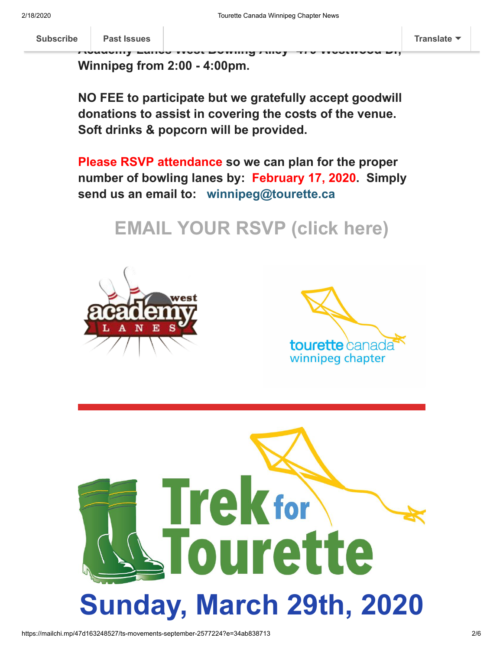**J[oin us for an a](https://us17.campaign-archive.com/home/?u=4d24ae0bf7e74f5742dc7ea4d&id=4f65696a2c)fternoon of fun for the whole family at [Subscribe](http://eepurl.com/diDvq5) Past Issues [Translate](javascript:;)**

**Academy Lanes West Bowling Alley -479 Westwood Dr,**

**Winnipeg from 2:00 - 4:00pm.**

**NO FEE to participate but we gratefully accept goodwill donations to assist in covering the costs of the venue. Soft drinks & popcorn will be provided.**

**Please RSVP attendance so we can plan for the proper number of bowling lanes by: February 17, 2020. Simply send us an email to: winnipeg@tourette.ca** 

**[EMAIL YOUR RSVP \(click here\)](mailto:winnipeg@tourette.ca?subject=RSVP%27ing%20to%20Feb%2023rd%20Bowling%20Event)**





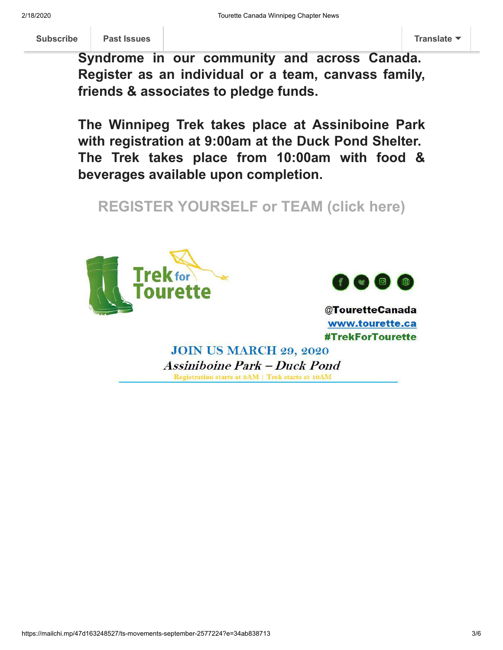**Syndrome in our community and across Canada. Register as an individual or a team, canvass family, friends & associates to pledge funds.**

**The Winnipeg Trek takes place at Assiniboine Park with registration at 9:00am at the Duck Pond Shelter. The Trek takes place from 10:00am with food & beverages available upon completion.**

**[REGISTER YOURSELF or TEAM \(click here\)](https://tourette.ca/trek)**





@TouretteCanada www.tourette.ca **#TrekForTourette** 

**JOIN US MARCH 29, 2020 Assiniboine Park – Duck Pond** Registration starts at 9AM | Trek starts at 10AM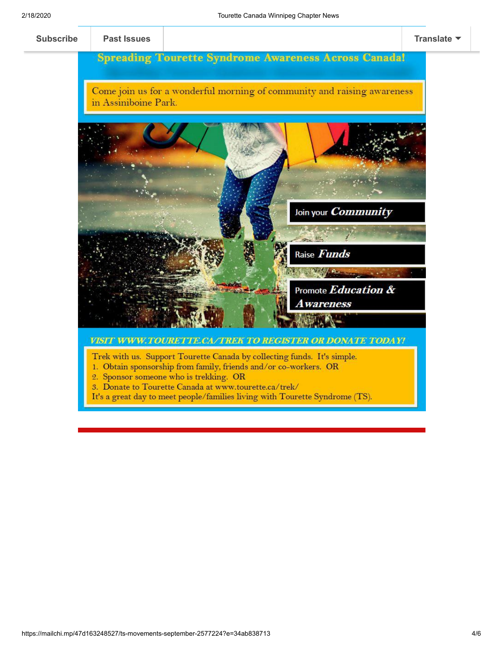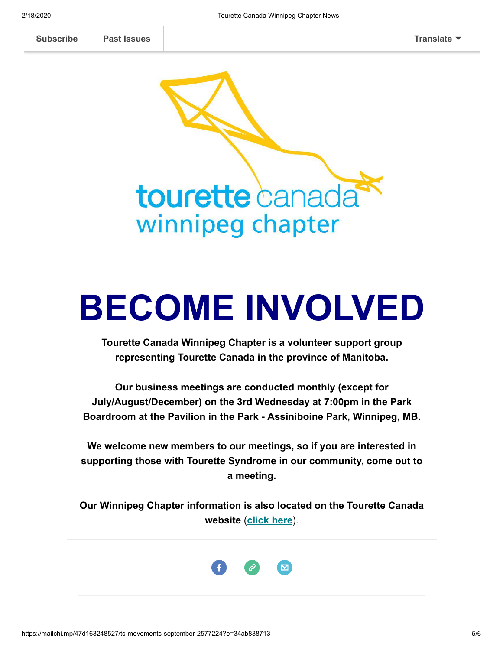tourette canada winnipeg chapter

## **BECOME INVOLVED**

**Tourette Canada Winnipeg Chapter is a volunteer support group representing Tourette Canada in the province of Manitoba.**

**Our business meetings are conducted monthly (except for July/August/December) on the 3rd Wednesday at 7:00pm in the Park Boardroom at the Pavilion in the Park - Assiniboine Park, Winnipeg, MB.**

**We welcome new members to our meetings, so if you are interested in supporting those with Tourette Syndrome in our community, come out to a meeting.**

**Our Winnipeg Chapter information is also located on the Tourette Canada website** (**[click here](https://tourette.ca/about-tourette-canada/local-affiliates/winnipeg-chapter/)**).